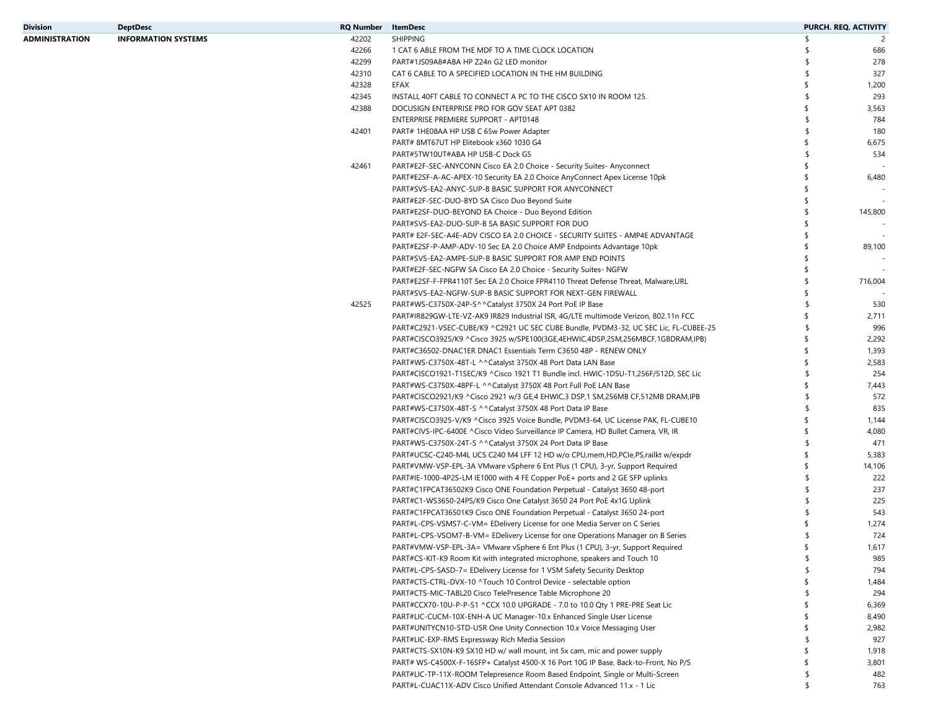| Division       | <b>DeptDesc</b>            | <b>RQ Number</b> | ItemDesc                                                                                                                                             |          | PURCH. REQ. ACTIVITY |
|----------------|----------------------------|------------------|------------------------------------------------------------------------------------------------------------------------------------------------------|----------|----------------------|
| ADMINISTRATION | <b>INFORMATION SYSTEMS</b> | 42202            | <b>SHIPPING</b>                                                                                                                                      | S        | 2                    |
|                |                            | 42266            | 1 CAT 6 ABLE FROM THE MDF TO A TIME CLOCK LOCATION                                                                                                   |          | 686                  |
|                |                            | 42299            | PART#1JS09A8#ABA HP Z24n G2 LED monitor                                                                                                              |          | 278                  |
|                |                            | 42310            | CAT 6 CABLE TO A SPECIFIED LOCATION IN THE HM BUILDING                                                                                               | \$       | 327                  |
|                |                            | 42328            | EFAX                                                                                                                                                 | \$       | 1,200                |
|                |                            | 42345            | INSTALL 40FT CABLE TO CONNECT A PC TO THE CISCO SX10 IN ROOM 125.                                                                                    | \$       | 293                  |
|                |                            | 42388            | DOCUSIGN ENTERPRISE PRO FOR GOV SEAT APT 0382                                                                                                        | \$       | 3,563                |
|                |                            |                  | ENTERPRISE PREMIERE SUPPORT - APT0148                                                                                                                |          | 784                  |
|                |                            | 42401            | PART# 1HE08AA HP USB C 65w Power Adapter                                                                                                             | \$.      | 180                  |
|                |                            |                  | PART# 8MT67UT HP Elitebook x360 1030 G4                                                                                                              | \$       | 6,675                |
|                |                            |                  | PART#5TW10UT#ABA HP USB-C Dock G5                                                                                                                    | \$.      | 534                  |
|                |                            | 42461            | PART#E2F-SEC-ANYCONN Cisco EA 2.0 Choice - Security Suites- Anyconnect                                                                               | \$       |                      |
|                |                            |                  | PART#E2SF-A-AC-APEX-10 Security EA 2.0 Choice AnyConnect Apex License 10pk                                                                           | \$       | 6,480                |
|                |                            |                  | PART#SVS-EA2-ANYC-SUP-B BASIC SUPPORT FOR ANYCONNECT                                                                                                 | \$       |                      |
|                |                            |                  | PART#E2F-SEC-DUO-BYD SA Cisco Duo Beyond Suite                                                                                                       | \$       |                      |
|                |                            |                  | PART#E2SF-DUO-BEYOND EA Choice - Duo Beyond Edition                                                                                                  | \$       | 145,800              |
|                |                            |                  | PART#SVS-EA2-DUO-SUP-B SA BASIC SUPPORT FOR DUO                                                                                                      | \$       |                      |
|                |                            |                  | PART# E2F-SEC-A4E-ADV CISCO EA 2.0 CHOICE - SECURITY SUITES - AMP4E ADVANTAGE                                                                        | \$       |                      |
|                |                            |                  | PART#E2SF-P-AMP-ADV-10 Sec EA 2.0 Choice AMP Endpoints Advantage 10pk                                                                                | \$       | 89,100               |
|                |                            |                  | PART#SVS-EA2-AMPE-SUP-B BASIC SUPPORT FOR AMP END POINTS                                                                                             | \$       |                      |
|                |                            |                  | PART#E2F-SEC-NGFW SA Cisco EA 2.0 Choice - Security Suites- NGFW                                                                                     | \$       |                      |
|                |                            |                  | PART#E2SF-F-FPR4110T Sec EA 2.0 Choice FPR4110 Threat Defense Threat, Malware,URL                                                                    | \$       | 716,004              |
|                |                            |                  | PART#SVS-EA2-NGFW-SUP-B BASIC SUPPORT FOR NEXT-GEN FIREWALL                                                                                          | \$       |                      |
|                |                            | 42525            | PART#WS-C3750X-24P-S^^Catalyst 3750X 24 Port PoE IP Base                                                                                             |          | 530                  |
|                |                            |                  | PART#IR829GW-LTE-VZ-AK9 IR829 Industrial ISR, 4G/LTE multimode Verizon, 802.11n FCC                                                                  | \$       | 2,711                |
|                |                            |                  | PART#C2921-VSEC-CUBE/K9 ^C2921 UC SEC CUBE Bundle, PVDM3-32, UC SEC Lic, FL-CUBEE-25                                                                 | \$       | 996                  |
|                |                            |                  | PART#CISCO3925/K9 ^Cisco 3925 w/SPE100(3GE,4EHWIC,4DSP,2SM,256MBCF,1GBDRAM,IPB)                                                                      | \$       | 2,292                |
|                |                            |                  | PART#C36502-DNAC1ER DNAC1 Essentials Term C3650 48P - RENEW ONLY                                                                                     | \$       | 1,393                |
|                |                            |                  | PART#WS-C3750X-48T-L ^^Catalyst 3750X 48 Port Data LAN Base                                                                                          | \$       | 2,583                |
|                |                            |                  | PART#CISCO1921-T1SEC/K9 ^Cisco 1921 T1 Bundle incl. HWIC-1DSU-T1,256F/512D, SEC Lic                                                                  | \$       | 254                  |
|                |                            |                  | PART#WS-C3750X-48PF-L ^^Catalyst 3750X 48 Port Full PoE LAN Base                                                                                     | \$       | 7,443                |
|                |                            |                  | PART#CISCO2921/K9 ^Cisco 2921 w/3 GE,4 EHWIC,3 DSP,1 SM,256MB CF,512MB DRAM,IPB                                                                      | \$       | 572                  |
|                |                            |                  | PART#WS-C3750X-48T-S ^^Catalyst 3750X 48 Port Data IP Base                                                                                           | \$       | 835                  |
|                |                            |                  | PART#CISCO3925-V/K9 ^Cisco 3925 Voice Bundle, PVDM3-64, UC License PAK, FL-CUBE10                                                                    | \$       | 1,144                |
|                |                            |                  | PART#CIVS-IPC-6400E ^Cisco Video Surveillance IP Camera, HD Bullet Camera, VR, IR                                                                    | \$       | 4,080                |
|                |                            |                  | PART#WS-C3750X-24T-S ^^Catalyst 3750X 24 Port Data IP Base                                                                                           | \$       | 471                  |
|                |                            |                  | PART#UCSC-C240-M4L UCS C240 M4 LFF 12 HD w/o CPU, mem, HD, PCIe, PS, railkt w/expdr                                                                  | \$       | 5,383                |
|                |                            |                  |                                                                                                                                                      | \$       |                      |
|                |                            |                  | PART#VMW-VSP-EPL-3A VMware vSphere 6 Ent Plus (1 CPU), 3-yr, Support Required                                                                        | \$       | 14,106<br>222        |
|                |                            |                  | PART#IE-1000-4P2S-LM IE1000 with 4 FE Copper PoE+ ports and 2 GE SFP uplinks                                                                         | \$       | 237                  |
|                |                            |                  | PART#C1FPCAT36502K9 Cisco ONE Foundation Perpetual - Catalyst 3650 48-port<br>PART#C1-WS3650-24PS/K9 Cisco One Catalyst 3650 24 Port PoE 4x1G Uplink | \$       | 225                  |
|                |                            |                  |                                                                                                                                                      | \$       |                      |
|                |                            |                  | PART#C1FPCAT36501K9 Cisco ONE Foundation Perpetual - Catalyst 3650 24-port                                                                           |          | 543                  |
|                |                            |                  | PART#L-CPS-VSMS7-C-VM= EDelivery License for one Media Server on C Series                                                                            |          | 1,274                |
|                |                            |                  | PART#L-CPS-VSOM7-B-VM= EDelivery License for one Operations Manager on B Series                                                                      | \$       | 724                  |
|                |                            |                  | PART#VMW-VSP-EPL-3A= VMware vSphere 6 Ent Plus (1 CPU), 3-yr, Support Required                                                                       |          | 1,617                |
|                |                            |                  | PART#CS-KIT-K9 Room Kit with integrated microphone, speakers and Touch 10                                                                            | \$<br>\$ | 985                  |
|                |                            |                  | PART#L-CPS-SASD-7= EDelivery License for 1 VSM Safety Security Desktop                                                                               |          | 794                  |
|                |                            |                  | PART#CTS-CTRL-DVX-10 ^Touch 10 Control Device - selectable option                                                                                    | \$       | 1,484                |
|                |                            |                  | PART#CTS-MIC-TABL20 Cisco TelePresence Table Microphone 20                                                                                           | \$       | 294                  |
|                |                            |                  | PART#CCX70-10U-P-P-S1 ^CCX 10.0 UPGRADE - 7.0 to 10.0 Qty 1 PRE-PRE Seat Lic                                                                         | -S       | 6,369                |
|                |                            |                  | PART#LIC-CUCM-10X-ENH-A UC Manager-10.x Enhanced Single User License                                                                                 | -\$      | 8,490                |
|                |                            |                  | PART#UNITYCN10-STD-USR One Unity Connection 10.x Voice Messaging User                                                                                | \$       | 2,982                |
|                |                            |                  | PART#LIC-EXP-RMS Expressway Rich Media Session                                                                                                       | \$       | 927                  |
|                |                            |                  | PART#CTS-SX10N-K9 SX10 HD w/ wall mount, int 5x cam, mic and power supply                                                                            | \$       | 1,918                |
|                |                            |                  | PART# WS-C4500X-F-16SFP+ Catalyst 4500-X 16 Port 10G IP Base, Back-to-Front, No P/S                                                                  | \$.      | 3,801                |
|                |                            |                  | PART#LIC-TP-11X-ROOM Telepresence Room Based Endpoint, Single or Multi-Screen                                                                        | \$       | 482                  |
|                |                            |                  | PART#L-CUAC11X-ADV Cisco Unified Attendant Console Advanced 11.x - 1 Lic                                                                             | \$       | 763                  |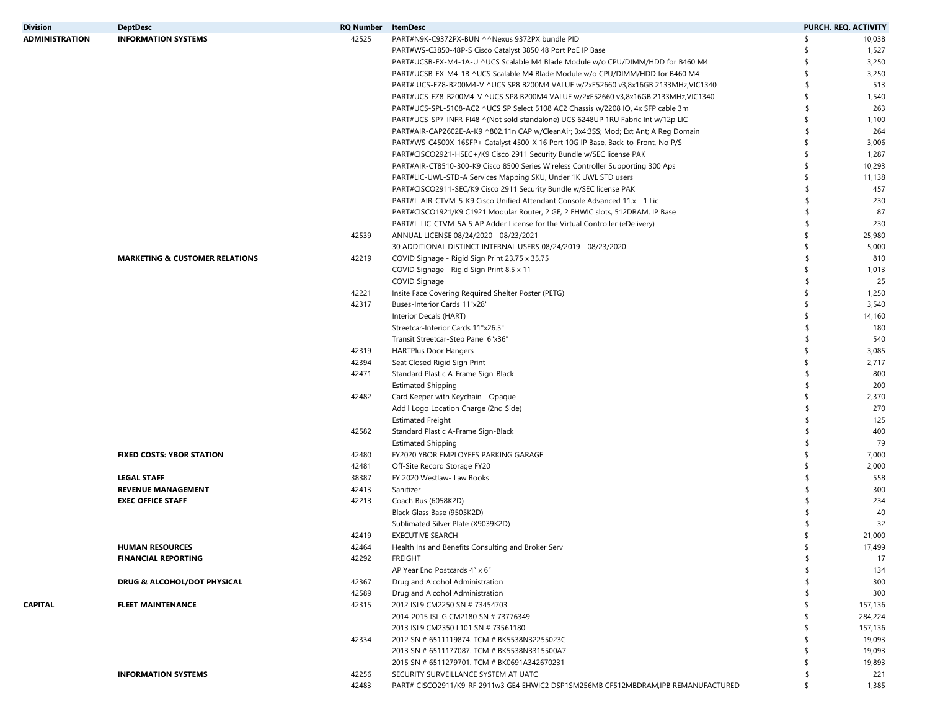| <b>Division</b>       | <b>DeptDesc</b>                           | <b>RQ Number</b> | <b>ItemDesc</b>                                                                     |     | PURCH. REQ. ACTIVITY |
|-----------------------|-------------------------------------------|------------------|-------------------------------------------------------------------------------------|-----|----------------------|
| <b>ADMINISTRATION</b> | <b>INFORMATION SYSTEMS</b>                | 42525            | PART#N9K-C9372PX-BUN ^^Nexus 9372PX bundle PID                                      | \$  | 10,038               |
|                       |                                           |                  | PART#WS-C3850-48P-S Cisco Catalyst 3850 48 Port PoE IP Base                         | \$  | 1,527                |
|                       |                                           |                  | PART#UCSB-EX-M4-1A-U ^UCS Scalable M4 Blade Module w/o CPU/DIMM/HDD for B460 M4     | \$  | 3,250                |
|                       |                                           |                  | PART#UCSB-EX-M4-1B ^UCS Scalable M4 Blade Module w/o CPU/DIMM/HDD for B460 M4       | \$  | 3,250                |
|                       |                                           |                  | PART# UCS-EZ8-B200M4-V ^UCS SP8 B200M4 VALUE w/2xE52660 v3,8x16GB 2133MHz,VIC1340   | \$  | 513                  |
|                       |                                           |                  | PART#UCS-EZ8-B200M4-V ^UCS SP8 B200M4 VALUE w/2xE52660 v3,8x16GB 2133MHz,VIC1340    | \$  | 1,540                |
|                       |                                           |                  | PART#UCS-SPL-5108-AC2 ^UCS SP Select 5108 AC2 Chassis w/2208 IO, 4x SFP cable 3m    | \$  | 263                  |
|                       |                                           |                  | PART#UCS-SP7-INFR-FI48 ^(Not sold standalone) UCS 6248UP 1RU Fabric Int w/12p LIC   | \$  | 1,100                |
|                       |                                           |                  | PART#AIR-CAP2602E-A-K9 ^802.11n CAP w/CleanAir; 3x4:3SS; Mod; Ext Ant; A Reg Domain | \$  | 264                  |
|                       |                                           |                  |                                                                                     | \$  | 3,006                |
|                       |                                           |                  | PART#WS-C4500X-16SFP+ Catalyst 4500-X 16 Port 10G IP Base, Back-to-Front, No P/S    | \$  |                      |
|                       |                                           |                  | PART#CISCO2921-HSEC+/K9 Cisco 2911 Security Bundle w/SEC license PAK                |     | 1,287                |
|                       |                                           |                  | PART#AIR-CT8510-300-K9 Cisco 8500 Series Wireless Controller Supporting 300 Aps     | \$  | 10,293               |
|                       |                                           |                  | PART#LIC-UWL-STD-A Services Mapping SKU, Under 1K UWL STD users                     | \$  | 11,138               |
|                       |                                           |                  | PART#CISCO2911-SEC/K9 Cisco 2911 Security Bundle w/SEC license PAK                  | \$. | 457                  |
|                       |                                           |                  | PART#L-AIR-CTVM-5-K9 Cisco Unified Attendant Console Advanced 11.x - 1 Lic          | \$  | 230                  |
|                       |                                           |                  | PART#CISCO1921/K9 C1921 Modular Router, 2 GE, 2 EHWIC slots, 512DRAM, IP Base       | \$  | 87                   |
|                       |                                           |                  | PART#L-LIC-CTVM-5A 5 AP Adder License for the Virtual Controller (eDelivery)        | \$  | 230                  |
|                       |                                           | 42539            | ANNUAL LICENSE 08/24/2020 - 08/23/2021                                              | \$  | 25,980               |
|                       |                                           |                  | 30 ADDITIONAL DISTINCT INTERNAL USERS 08/24/2019 - 08/23/2020                       | \$  | 5,000                |
|                       | <b>MARKETING &amp; CUSTOMER RELATIONS</b> | 42219            | COVID Signage - Rigid Sign Print 23.75 x 35.75                                      | \$  | 810                  |
|                       |                                           |                  | COVID Signage - Rigid Sign Print 8.5 x 11                                           | \$  | 1,013                |
|                       |                                           |                  | COVID Signage                                                                       | \$  | 25                   |
|                       |                                           | 42221            | Insite Face Covering Required Shelter Poster (PETG)                                 | \$  | 1,250                |
|                       |                                           | 42317            | Buses-Interior Cards 11"x28"                                                        | \$  | 3,540                |
|                       |                                           |                  | Interior Decals (HART)                                                              | \$  | 14,160               |
|                       |                                           |                  | Streetcar-Interior Cards 11"x26.5"                                                  | \$  | 180                  |
|                       |                                           |                  | Transit Streetcar-Step Panel 6"x36"                                                 |     | 540                  |
|                       |                                           | 42319            | <b>HARTPlus Door Hangers</b>                                                        | \$  | 3,085                |
|                       |                                           | 42394            | Seat Closed Rigid Sign Print                                                        | \$  | 2,717                |
|                       |                                           | 42471            |                                                                                     |     | 800                  |
|                       |                                           |                  | Standard Plastic A-Frame Sign-Black                                                 | \$  | 200                  |
|                       |                                           |                  | <b>Estimated Shipping</b>                                                           |     |                      |
|                       |                                           | 42482            | Card Keeper with Keychain - Opaque                                                  | \$  | 2,370                |
|                       |                                           |                  | Add'l Logo Location Charge (2nd Side)                                               | \$  | 270                  |
|                       |                                           |                  | <b>Estimated Freight</b>                                                            | \$  | 125                  |
|                       |                                           | 42582            | Standard Plastic A-Frame Sign-Black                                                 | \$  | 400                  |
|                       |                                           |                  | <b>Estimated Shipping</b>                                                           |     | 79                   |
|                       | <b>FIXED COSTS: YBOR STATION</b>          | 42480            | FY2020 YBOR EMPLOYEES PARKING GARAGE                                                | \$  | 7,000                |
|                       |                                           | 42481            | Off-Site Record Storage FY20                                                        | \$  | 2,000                |
|                       | <b>LEGAL STAFF</b>                        | 38387            | FY 2020 Westlaw- Law Books                                                          |     | 558                  |
|                       | <b>REVENUE MANAGEMENT</b>                 | 42413            | Sanitizer                                                                           | \$  | 300                  |
|                       | <b>EXEC OFFICE STAFF</b>                  | 42213            | Coach Bus (6058K2D)                                                                 |     | 234                  |
|                       |                                           |                  | Black Glass Base (9505K2D)                                                          |     | 40                   |
|                       |                                           |                  | Sublimated Silver Plate (X9039K2D)                                                  |     | 32                   |
|                       |                                           | 42419            | <b>EXECUTIVE SEARCH</b>                                                             | \$  | 21,000               |
|                       | <b>HUMAN RESOURCES</b>                    | 42464            | Health Ins and Benefits Consulting and Broker Serv                                  | \$  | 17,499               |
|                       | <b>FINANCIAL REPORTING</b>                | 42292            | <b>FREIGHT</b>                                                                      | \$  | 17                   |
|                       |                                           |                  | AP Year End Postcards 4" x 6"                                                       |     | 134                  |
|                       | DRUG & ALCOHOL/DOT PHYSICAL               | 42367            | Drug and Alcohol Administration                                                     |     | 300                  |
|                       |                                           | 42589            | Drug and Alcohol Administration                                                     |     | 300                  |
| <b>CAPITAL</b>        | <b>FLEET MAINTENANCE</b>                  | 42315            | 2012 ISL9 CM2250 SN # 73454703                                                      |     | 157,136              |
|                       |                                           |                  | 2014-2015 ISL G CM2180 SN # 73776349                                                |     | 284,224              |
|                       |                                           |                  | 2013 ISL9 CM2350 L101 SN # 73561180                                                 |     | 157,136              |
|                       |                                           |                  |                                                                                     |     |                      |
|                       |                                           | 42334            | 2012 SN # 6511119874. TCM # BK5538N32255023C                                        |     | 19,093               |
|                       |                                           |                  | 2013 SN # 6511177087. TCM # BK5538N3315500A7                                        |     | 19,093               |
|                       |                                           |                  | 2015 SN # 6511279701. TCM # BK0691A342670231                                        |     | 19,893               |
|                       | <b>INFORMATION SYSTEMS</b>                | 42256            | SECURITY SURVEILLANCE SYSTEM AT UATC                                                |     | 221                  |
|                       |                                           | 42483            | PART# CISCO2911/K9-RF 2911w3 GE4 EHWIC2 DSP1SM256MB CF512MBDRAM, IPB REMANUFACTURED | \$  | 1,385                |
|                       |                                           |                  |                                                                                     |     |                      |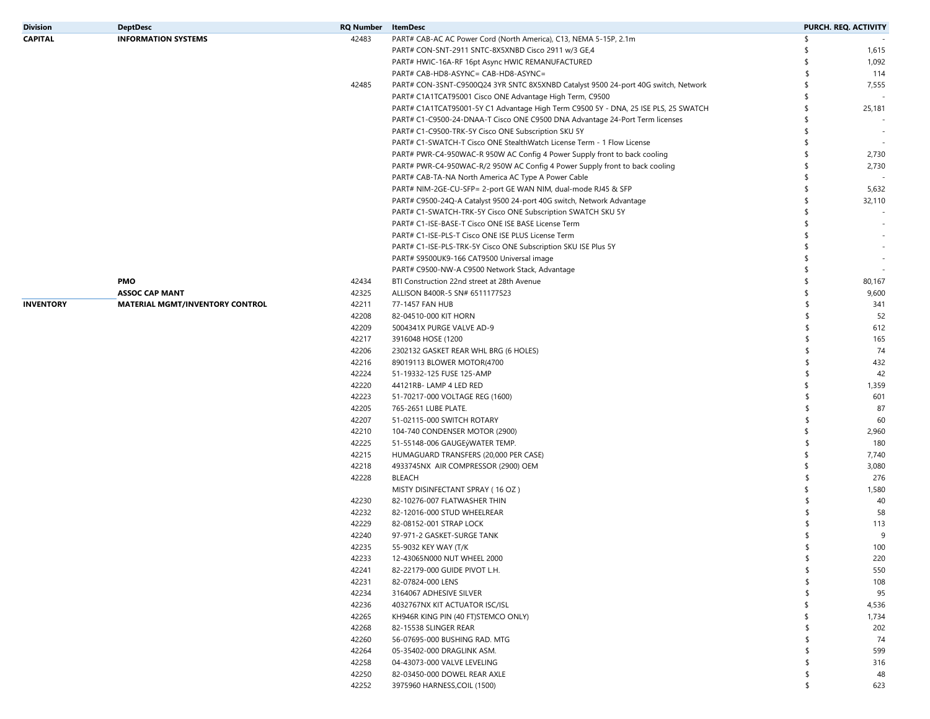| Division  | <b>DeptDesc</b>                        | <b>RQ Number</b> | ItemDesc                                                                            |    | PURCH. REQ. ACTIVITY |
|-----------|----------------------------------------|------------------|-------------------------------------------------------------------------------------|----|----------------------|
| CAPITAL   | <b>INFORMATION SYSTEMS</b>             | 42483            | PART# CAB-AC AC Power Cord (North America), C13, NEMA 5-15P, 2.1m                   | \$ |                      |
|           |                                        |                  | PART# CON-SNT-2911 SNTC-8X5XNBD Cisco 2911 w/3 GE,4                                 |    | 1,615                |
|           |                                        |                  | PART# HWIC-16A-RF 16pt Async HWIC REMANUFACTURED                                    |    | 1,092                |
|           |                                        |                  | PART# CAB-HD8-ASYNC= CAB-HD8-ASYNC=                                                 | \$ | 114                  |
|           |                                        | 42485            | PART# CON-3SNT-C9500Q24 3YR SNTC 8X5XNBD Catalyst 9500 24-port 40G switch, Network  |    | 7,555                |
|           |                                        |                  | PART# C1A1TCAT95001 Cisco ONE Advantage High Term, C9500                            |    |                      |
|           |                                        |                  | PART# C1A1TCAT95001-5Y C1 Advantage High Term C9500 5Y - DNA, 25 ISE PLS, 25 SWATCH | S  | 25,181               |
|           |                                        |                  | PART# C1-C9500-24-DNAA-T Cisco ONE C9500 DNA Advantage 24-Port Term licenses        |    |                      |
|           |                                        |                  | PART# C1-C9500-TRK-5Y Cisco ONE Subscription SKU 5Y                                 |    |                      |
|           |                                        |                  | PART# C1-SWATCH-T Cisco ONE StealthWatch License Term - 1 Flow License              |    |                      |
|           |                                        |                  | PART# PWR-C4-950WAC-R 950W AC Config 4 Power Supply front to back cooling           |    | 2,730                |
|           |                                        |                  | PART# PWR-C4-950WAC-R/2 950W AC Config 4 Power Supply front to back cooling         | S  | 2,730                |
|           |                                        |                  | PART# CAB-TA-NA North America AC Type A Power Cable                                 |    |                      |
|           |                                        |                  | PART# NIM-2GE-CU-SFP= 2-port GE WAN NIM, dual-mode RJ45 & SFP                       |    | 5,632                |
|           |                                        |                  | PART# C9500-24Q-A Catalyst 9500 24-port 40G switch, Network Advantage               | \$ | 32,110               |
|           |                                        |                  | PART# C1-SWATCH-TRK-5Y Cisco ONE Subscription SWATCH SKU 5Y                         |    |                      |
|           |                                        |                  | PART# C1-ISE-BASE-T Cisco ONE ISE BASE License Term                                 |    |                      |
|           |                                        |                  | PART# C1-ISE-PLS-T Cisco ONE ISE PLUS License Term                                  |    |                      |
|           |                                        |                  | PART# C1-ISE-PLS-TRK-5Y Cisco ONE Subscription SKU ISE Plus 5Y                      |    |                      |
|           |                                        |                  | PART# S9500UK9-166 CAT9500 Universal image                                          |    |                      |
|           |                                        |                  | PART# C9500-NW-A C9500 Network Stack, Advantage                                     |    |                      |
|           | <b>PMO</b>                             |                  |                                                                                     |    |                      |
|           |                                        | 42434            | BTI Construction 22nd street at 28th Avenue                                         |    | 80,167               |
|           | <b>ASSOC CAP MANT</b>                  | 42325            | ALLISON B400R-5 SN# 6511177523                                                      |    | 9,600                |
| INVENTORY | <b>MATERIAL MGMT/INVENTORY CONTROL</b> | 42211            | 77-1457 FAN HUB                                                                     |    | 341                  |
|           |                                        | 42208            | 82-04510-000 KIT HORN                                                               |    | 52                   |
|           |                                        | 42209            | 5004341X PURGE VALVE AD-9                                                           | \$ | 612                  |
|           |                                        | 42217            | 3916048 HOSE (1200                                                                  |    | 165                  |
|           |                                        | 42206            | 2302132 GASKET REAR WHL BRG (6 HOLES)                                               |    | 74                   |
|           |                                        | 42216            | 89019113 BLOWER MOTOR(4700                                                          |    | 432                  |
|           |                                        | 42224            | 51-19332-125 FUSE 125-AMP                                                           |    | 42                   |
|           |                                        | 42220            | 44121RB-LAMP 4 LED RED                                                              |    | 1,359                |
|           |                                        | 42223            | 51-70217-000 VOLTAGE REG (1600)                                                     |    | 601                  |
|           |                                        | 42205            | 765-2651 LUBE PLATE.                                                                |    | 87                   |
|           |                                        | 42207            | 51-02115-000 SWITCH ROTARY                                                          |    | 60                   |
|           |                                        | 42210            | 104-740 CONDENSER MOTOR (2900)                                                      | S  | 2,960                |
|           |                                        | 42225            | 51-55148-006 GAUGEýWATER TEMP.                                                      |    | 180                  |
|           |                                        | 42215            | HUMAGUARD TRANSFERS (20,000 PER CASE)                                               |    | 7,740                |
|           |                                        | 42218            | 4933745NX AIR COMPRESSOR (2900) OEM                                                 |    | 3,080                |
|           |                                        | 42228            | <b>BLEACH</b>                                                                       |    | 276                  |
|           |                                        |                  | MISTY DISINFECTANT SPRAY (16 OZ)                                                    | S  | 1,580                |
|           |                                        | 42230            | 82-10276-007 FLATWASHER THIN                                                        |    | 40                   |
|           |                                        | 42232            | 82-12016-000 STUD WHEELREAR                                                         |    | 58                   |
|           |                                        | 42229            | 82-08152-001 STRAP LOCK                                                             |    | 113                  |
|           |                                        | 42240            | 97-971-2 GASKET-SURGE TANK                                                          |    | 9                    |
|           |                                        | 42235            | 55-9032 KEY WAY (T/K                                                                |    | 100                  |
|           |                                        | 42233            | 12-43065N000 NUT WHEEL 2000                                                         | \$ | 220                  |
|           |                                        | 42241            | 82-22179-000 GUIDE PIVOT L.H.                                                       |    | 550                  |
|           |                                        | 42231            | 82-07824-000 LENS                                                                   |    | 108                  |
|           |                                        | 42234            | 3164067 ADHESIVE SILVER                                                             |    | 95                   |
|           |                                        | 42236            | 4032767NX KIT ACTUATOR ISC/ISL                                                      |    | 4,536                |
|           |                                        | 42265            | KH946R KING PIN (40 FT)STEMCO ONLY)                                                 |    | 1,734                |
|           |                                        | 42268            |                                                                                     |    |                      |
|           |                                        |                  | 82-15538 SLINGER REAR                                                               |    | 202                  |
|           |                                        | 42260            | 56-07695-000 BUSHING RAD. MTG                                                       |    | 74                   |
|           |                                        | 42264            | 05-35402-000 DRAGLINK ASM.                                                          |    | 599                  |
|           |                                        | 42258            | 04-43073-000 VALVE LEVELING                                                         |    | 316                  |
|           |                                        | 42250            | 82-03450-000 DOWEL REAR AXLE                                                        |    | 48                   |
|           |                                        | 42252            | 3975960 HARNESS, COIL (1500)                                                        |    | 623                  |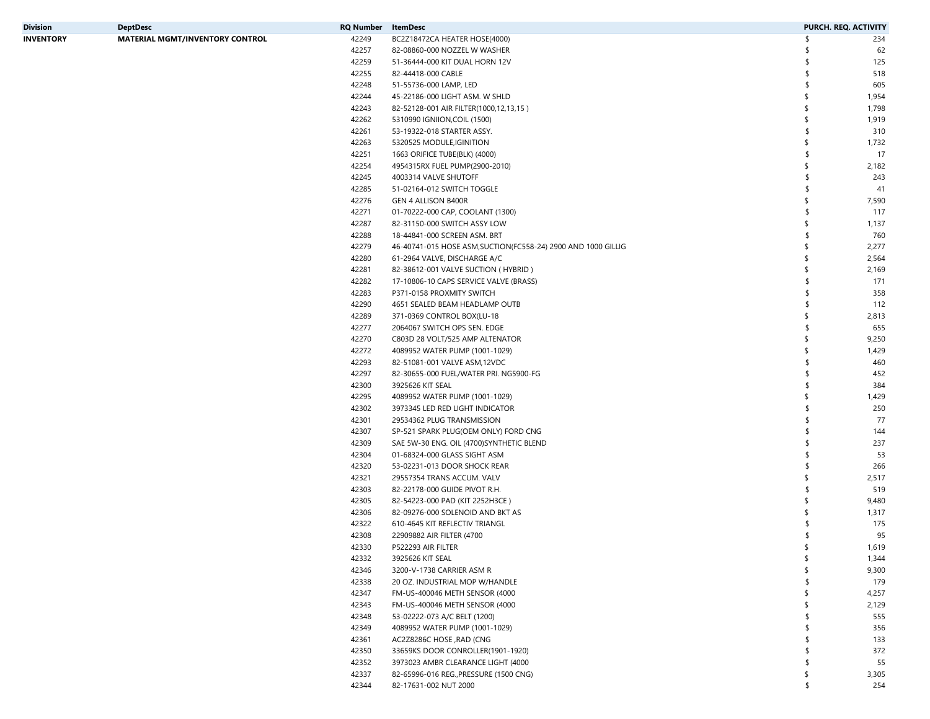| Division         | <b>DeptDesc</b>                        | <b>RQ Number</b> | ItemDesc                                                       |     | PURCH. REQ. ACTIVITY |
|------------------|----------------------------------------|------------------|----------------------------------------------------------------|-----|----------------------|
| <b>INVENTORY</b> | <b>MATERIAL MGMT/INVENTORY CONTROL</b> | 42249            | BC2Z18472CA HEATER HOSE(4000)                                  |     | 234                  |
|                  |                                        | 42257            | 82-08860-000 NOZZEL W WASHER                                   |     | 62                   |
|                  |                                        | 42259            | 51-36444-000 KIT DUAL HORN 12V                                 |     | 125                  |
|                  |                                        | 42255            | 82-44418-000 CABLE                                             | -S  | 518                  |
|                  |                                        | 42248            | 51-55736-000 LAMP, LED                                         |     | 605                  |
|                  |                                        | 42244            | 45-22186-000 LIGHT ASM. W SHLD                                 | \$  | 1,954                |
|                  |                                        | 42243            | 82-52128-001 AIR FILTER(1000,12,13,15)                         | S.  | 1,798                |
|                  |                                        | 42262            | 5310990 IGNIION, COIL (1500)                                   | \$  | 1,919                |
|                  |                                        | 42261            | 53-19322-018 STARTER ASSY.                                     | -S  | 310                  |
|                  |                                        | 42263            | 5320525 MODULE, IGINITION                                      | \$  | 1,732                |
|                  |                                        | 42251            | 1663 ORIFICE TUBE(BLK) (4000)                                  | -S  | 17                   |
|                  |                                        | 42254            | 4954315RX FUEL PUMP(2900-2010)                                 | \$  | 2,182                |
|                  |                                        | 42245            | 4003314 VALVE SHUTOFF                                          | S   | 243                  |
|                  |                                        | 42285            | 51-02164-012 SWITCH TOGGLE                                     | \$. | 41                   |
|                  |                                        | 42276            | GEN 4 ALLISON B400R                                            | \$  | 7,590                |
|                  |                                        | 42271            | 01-70222-000 CAP, COOLANT (1300)                               | S   | 117                  |
|                  |                                        | 42287            | 82-31150-000 SWITCH ASSY LOW                                   | \$  | 1,137                |
|                  |                                        | 42288            | 18-44841-000 SCREEN ASM. BRT                                   | S   | 760                  |
|                  |                                        | 42279            | 46-40741-015 HOSE ASM, SUCTION (FC558-24) 2900 AND 1000 GILLIG | \$  | 2,277                |
|                  |                                        | 42280            | 61-2964 VALVE, DISCHARGE A/C                                   | \$  | 2,564                |
|                  |                                        | 42281            | 82-38612-001 VALVE SUCTION ( HYBRID )                          | \$  | 2,169                |
|                  |                                        | 42282            | 17-10806-10 CAPS SERVICE VALVE (BRASS)                         | -S  | 171                  |
|                  |                                        | 42283            | P371-0158 PROXMITY SWITCH                                      | -S  | 358                  |
|                  |                                        | 42290            | 4651 SEALED BEAM HEADLAMP OUTB                                 | -S  | 112                  |
|                  |                                        | 42289            | 371-0369 CONTROL BOX(LU-18                                     | \$  | 2,813                |
|                  |                                        | 42277            | 2064067 SWITCH OPS SEN. EDGE                                   |     | 655                  |
|                  |                                        | 42270            | C803D 28 VOLT/525 AMP ALTENATOR                                | \$  | 9,250                |
|                  |                                        | 42272            | 4089952 WATER PUMP (1001-1029)                                 | \$  | 1,429                |
|                  |                                        | 42293            | 82-51081-001 VALVE ASM,12VDC                                   | -S  | 460                  |
|                  |                                        | 42297            | 82-30655-000 FUEL/WATER PRI. NG5900-FG                         |     | 452                  |
|                  |                                        | 42300            | 3925626 KIT SEAL                                               | -S  | 384                  |
|                  |                                        | 42295            | 4089952 WATER PUMP (1001-1029)                                 | \$  | 1,429                |
|                  |                                        | 42302            | 3973345 LED RED LIGHT INDICATOR                                |     | 250                  |
|                  |                                        | 42301            | 29534362 PLUG TRANSMISSION                                     |     | 77                   |
|                  |                                        | 42307            | SP-521 SPARK PLUG(OEM ONLY) FORD CNG                           |     | 144                  |
|                  |                                        | 42309            | SAE 5W-30 ENG. OIL (4700) SYNTHETIC BLEND                      |     | 237                  |
|                  |                                        | 42304            | 01-68324-000 GLASS SIGHT ASM                                   |     | 53                   |
|                  |                                        | 42320            | 53-02231-013 DOOR SHOCK REAR                                   | -S  | 266                  |
|                  |                                        | 42321            | 29557354 TRANS ACCUM. VALV                                     | \$  | 2,517                |
|                  |                                        | 42303            | 82-22178-000 GUIDE PIVOT R.H.                                  | -S  | 519                  |
|                  |                                        | 42305            | 82-54223-000 PAD (KIT 2252H3CE)                                | S   | 9,480                |
|                  |                                        | 42306            | 82-09276-000 SOLENOID AND BKT AS                               |     | 1,317                |
|                  |                                        | 42322            | 610-4645 KIT REFLECTIV TRIANGL                                 |     | 175                  |
|                  |                                        | 42308            | 22909882 AIR FILTER (4700                                      |     | 95                   |
|                  |                                        | 42330            | P522293 AIR FILTER                                             |     | 1,619                |
|                  |                                        | 42332            | 3925626 KIT SEAL                                               | \$  | 1,344                |
|                  |                                        | 42346            | 3200-V-1738 CARRIER ASM R                                      | \$  | 9,300                |
|                  |                                        | 42338            | 20 OZ. INDUSTRIAL MOP W/HANDLE                                 | S   | 179                  |
|                  |                                        | 42347            | FM-US-400046 METH SENSOR (4000                                 | \$  | 4,257                |
|                  |                                        | 42343            | FM-US-400046 METH SENSOR (4000                                 | \$  | 2,129                |
|                  |                                        | 42348            | 53-02222-073 A/C BELT (1200)                                   |     | 555                  |
|                  |                                        | 42349            | 4089952 WATER PUMP (1001-1029)                                 | -S  | 356                  |
|                  |                                        | 42361            | AC2Z8286C HOSE, RAD (CNG                                       |     | 133                  |
|                  |                                        | 42350            | 33659KS DOOR CONROLLER(1901-1920)                              | -S  | 372                  |
|                  |                                        | 42352            | 3973023 AMBR CLEARANCE LIGHT (4000                             | S   | 55                   |
|                  |                                        | 42337            | 82-65996-016 REG., PRESSURE (1500 CNG)                         | \$  | 3,305                |
|                  |                                        | 42344            | 82-17631-002 NUT 2000                                          |     | 254                  |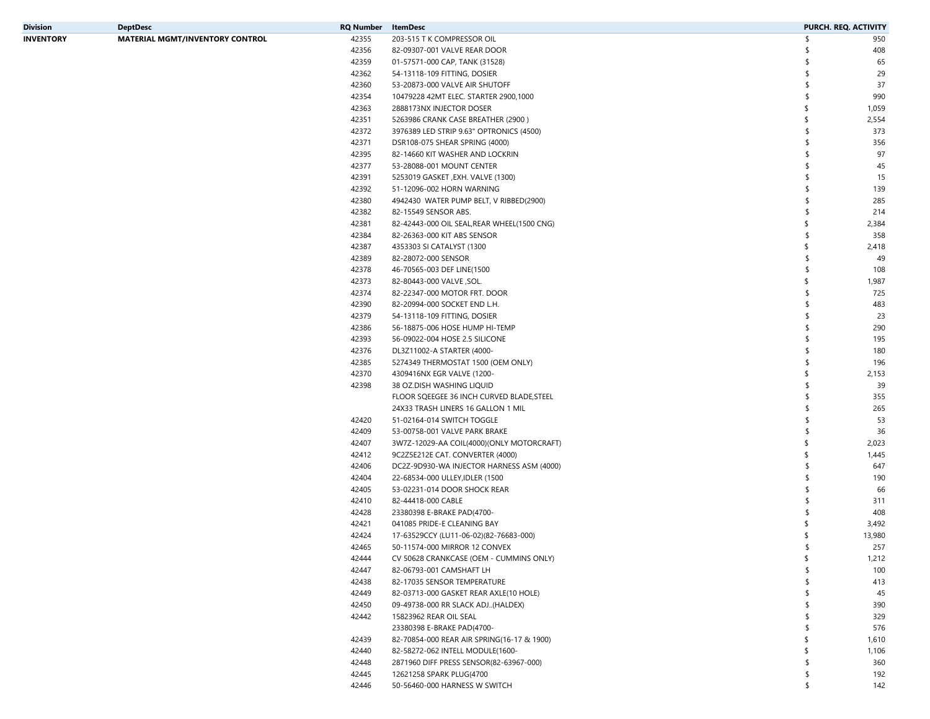| Division  | <b>DeptDesc</b>                        | <b>RQ Number</b> | ItemDesc                                     | <b>PURCH. REQ. ACTIVITY</b> |
|-----------|----------------------------------------|------------------|----------------------------------------------|-----------------------------|
| INVENTORY | <b>MATERIAL MGMT/INVENTORY CONTROL</b> | 42355            | 203-515 T K COMPRESSOR OIL                   | 950                         |
|           |                                        | 42356            | 82-09307-001 VALVE REAR DOOR                 | 408                         |
|           |                                        | 42359            | 01-57571-000 CAP, TANK (31528)               | 65                          |
|           |                                        | 42362            | 54-13118-109 FITTING, DOSIER                 | 29                          |
|           |                                        | 42360            | 53-20873-000 VALVE AIR SHUTOFF               | 37                          |
|           |                                        | 42354            | 10479228 42MT ELEC. STARTER 2900,1000        | 990<br>\$                   |
|           |                                        | 42363            | 2888173NX INJECTOR DOSER                     | \$<br>1,059                 |
|           |                                        | 42351            | 5263986 CRANK CASE BREATHER (2900)           | 2,554<br>\$                 |
|           |                                        | 42372            | 3976389 LED STRIP 9.63" OPTRONICS (4500)     | 373                         |
|           |                                        | 42371            | DSR108-075 SHEAR SPRING (4000)               | 356                         |
|           |                                        | 42395            | 82-14660 KIT WASHER AND LOCKRIN              | 97                          |
|           |                                        | 42377            | 53-28088-001 MOUNT CENTER                    | 45                          |
|           |                                        | 42391            | 5253019 GASKET, EXH. VALVE (1300)            | 15                          |
|           |                                        | 42392            | 51-12096-002 HORN WARNING                    | 139                         |
|           |                                        | 42380            |                                              | 285                         |
|           |                                        | 42382            | 4942430 WATER PUMP BELT, V RIBBED(2900)      | \$                          |
|           |                                        |                  | 82-15549 SENSOR ABS.                         | 214                         |
|           |                                        | 42381            | 82-42443-000 OIL SEAL, REAR WHEEL (1500 CNG) | \$<br>2,384                 |
|           |                                        | 42384            | 82-26363-000 KIT ABS SENSOR                  | 358                         |
|           |                                        | 42387            | 4353303 SI CATALYST (1300                    | \$<br>2,418                 |
|           |                                        | 42389            | 82-28072-000 SENSOR                          | \$<br>49                    |
|           |                                        | 42378            | 46-70565-003 DEF LINE(1500                   | 108                         |
|           |                                        | 42373            | 82-80443-000 VALVE, SOL.                     | 1,987<br>\$                 |
|           |                                        | 42374            | 82-22347-000 MOTOR FRT. DOOR                 | 725<br>\$                   |
|           |                                        | 42390            | 82-20994-000 SOCKET END L.H.                 | 483                         |
|           |                                        | 42379            | 54-13118-109 FITTING, DOSIER                 | 23                          |
|           |                                        | 42386            | 56-18875-006 HOSE HUMP HI-TEMP               | 290                         |
|           |                                        | 42393            | 56-09022-004 HOSE 2.5 SILICONE               | 195                         |
|           |                                        | 42376            | DL3Z11002-A STARTER (4000-                   | 180<br>\$.                  |
|           |                                        | 42385            | 5274349 THERMOSTAT 1500 (OEM ONLY)           | 196                         |
|           |                                        | 42370            | 4309416NX EGR VALVE (1200-                   | 2,153<br>\$                 |
|           |                                        | 42398            | 38 OZ.DISH WASHING LIQUID                    | 39<br>-S                    |
|           |                                        |                  | FLOOR SQEEGEE 36 INCH CURVED BLADE, STEEL    | 355                         |
|           |                                        |                  | 24X33 TRASH LINERS 16 GALLON 1 MIL           | 265                         |
|           |                                        | 42420            | 51-02164-014 SWITCH TOGGLE                   | 53                          |
|           |                                        | 42409            | 53-00758-001 VALVE PARK BRAKE                | 36                          |
|           |                                        | 42407            | 3W7Z-12029-AA COIL(4000)(ONLY MOTORCRAFT)    | 2,023<br>\$                 |
|           |                                        | 42412            | 9C2Z5E212E CAT. CONVERTER (4000)             | 1,445<br>\$                 |
|           |                                        | 42406            | DC2Z-9D930-WA INJECTOR HARNESS ASM (4000)    | 647<br>-S                   |
|           |                                        | 42404            | 22-68534-000 ULLEY, IDLER (1500              | 190                         |
|           |                                        | 42405            | 53-02231-014 DOOR SHOCK REAR                 | 66                          |
|           |                                        | 42410            | 82-44418-000 CABLE                           | 311                         |
|           |                                        |                  |                                              |                             |
|           |                                        | 42428            | 23380398 E-BRAKE PAD(4700-                   | 408                         |
|           |                                        | 42421            | 041085 PRIDE-E CLEANING BAY                  | 3,492                       |
|           |                                        | 42424            | 17-63529CCY (LU11-06-02)(82-76683-000)       | 13,980                      |
|           |                                        | 42465            | 50-11574-000 MIRROR 12 CONVEX                | 257                         |
|           |                                        | 42444            | CV 50628 CRANKCASE (OEM - CUMMINS ONLY)      | \$<br>1,212                 |
|           |                                        | 42447            | 82-06793-001 CAMSHAFT LH                     | 100<br>\$                   |
|           |                                        | 42438            | 82-17035 SENSOR TEMPERATURE                  | 413<br>\$                   |
|           |                                        | 42449            | 82-03713-000 GASKET REAR AXLE(10 HOLE)       | 45                          |
|           |                                        | 42450            | 09-49738-000 RR SLACK ADJ(HALDEX)            | 390                         |
|           |                                        | 42442            | 15823962 REAR OIL SEAL                       | 329<br>\$                   |
|           |                                        |                  | 23380398 E-BRAKE PAD(4700-                   | 576<br>\$                   |
|           |                                        | 42439            | 82-70854-000 REAR AIR SPRING(16-17 & 1900)   | 1,610<br>\$                 |
|           |                                        | 42440            | 82-58272-062 INTELL MODULE(1600-             | 1,106<br>\$                 |
|           |                                        | 42448            | 2871960 DIFF PRESS SENSOR(82-63967-000)      | 360<br>-S                   |
|           |                                        | 42445            | 12621258 SPARK PLUG(4700                     | 192<br>\$                   |
|           |                                        | 42446            | 50-56460-000 HARNESS W SWITCH                | \$<br>142                   |
|           |                                        |                  |                                              |                             |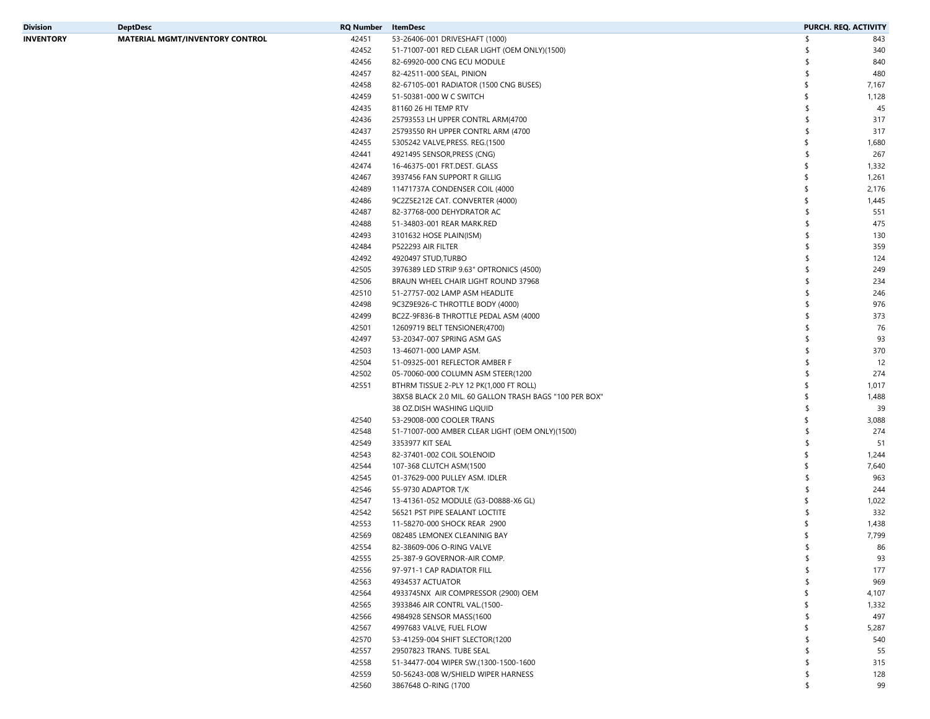| Division         | <b>DeptDesc</b>                        | <b>RQ Number</b> | ItemDesc                                                |               | PURCH. REQ. ACTIVITY |
|------------------|----------------------------------------|------------------|---------------------------------------------------------|---------------|----------------------|
| <b>INVENTORY</b> | <b>MATERIAL MGMT/INVENTORY CONTROL</b> | 42451            | 53-26406-001 DRIVESHAFT (1000)                          | - ፍ           | 843                  |
|                  |                                        | 42452            | 51-71007-001 RED CLEAR LIGHT (OEM ONLY)(1500)           | S,            | 340                  |
|                  |                                        | 42456            | 82-69920-000 CNG ECU MODULE                             | S.            | 840                  |
|                  |                                        | 42457            | 82-42511-000 SEAL, PINION                               | S,            | 480                  |
|                  |                                        | 42458            | 82-67105-001 RADIATOR (1500 CNG BUSES)                  | \$            | 7,167                |
|                  |                                        | 42459            | 51-50381-000 W C SWITCH                                 | \$            | 1,128                |
|                  |                                        | 42435            | 81160 26 HI TEMP RTV                                    | \$            | 45                   |
|                  |                                        | 42436            | 25793553 LH UPPER CONTRL ARM(4700                       | \$            | 317                  |
|                  |                                        | 42437            | 25793550 RH UPPER CONTRL ARM (4700                      | $\mathsf{\$}$ | 317                  |
|                  |                                        | 42455            | 5305242 VALVE, PRESS. REG. (1500                        | \$            | 1,680                |
|                  |                                        | 42441            | 4921495 SENSOR, PRESS (CNG)                             | \$            | 267                  |
|                  |                                        | 42474            | 16-46375-001 FRT.DEST. GLASS                            | \$            | 1,332                |
|                  |                                        | 42467            | 3937456 FAN SUPPORT R GILLIG                            | \$            | 1,261                |
|                  |                                        | 42489            | 11471737A CONDENSER COIL (4000                          | \$            | 2,176                |
|                  |                                        | 42486            | 9C2Z5E212E CAT. CONVERTER (4000)                        | \$            | 1,445                |
|                  |                                        | 42487            | 82-37768-000 DEHYDRATOR AC                              | -\$           | 551                  |
|                  |                                        | 42488            | 51-34803-001 REAR MARK.RED                              | \$            | 475                  |
|                  |                                        | 42493            | 3101632 HOSE PLAIN(ISM)                                 | S,            | 130                  |
|                  |                                        | 42484            | P522293 AIR FILTER                                      | $\mathsf{\$}$ | 359                  |
|                  |                                        | 42492            | 4920497 STUD, TURBO                                     | $\mathsf{\$}$ | 124                  |
|                  |                                        | 42505            | 3976389 LED STRIP 9.63" OPTRONICS (4500)                | \$            | 249                  |
|                  |                                        | 42506            | BRAUN WHEEL CHAIR LIGHT ROUND 37968                     | $\mathsf{\$}$ | 234                  |
|                  |                                        | 42510            | 51-27757-002 LAMP ASM HEADLITE                          | -\$           | 246                  |
|                  |                                        | 42498            | 9C3Z9E926-C THROTTLE BODY (4000)                        | \$            | 976                  |
|                  |                                        | 42499            | BC2Z-9F836-B THROTTLE PEDAL ASM (4000                   | \$            | 373                  |
|                  |                                        | 42501            | 12609719 BELT TENSIONER(4700)                           | -\$           | 76                   |
|                  |                                        | 42497            | 53-20347-007 SPRING ASM GAS                             | $\mathsf{\$}$ | 93                   |
|                  |                                        | 42503            | 13-46071-000 LAMP ASM.                                  | \$            | 370                  |
|                  |                                        | 42504            | 51-09325-001 REFLECTOR AMBER F                          | S,            | 12                   |
|                  |                                        | 42502            | 05-70060-000 COLUMN ASM STEER(1200                      | $\mathsf{\$}$ | 274                  |
|                  |                                        | 42551            | BTHRM TISSUE 2-PLY 12 PK(1,000 FT ROLL)                 | \$            | 1,017                |
|                  |                                        |                  | 38X58 BLACK 2.0 MIL. 60 GALLON TRASH BAGS "100 PER BOX" | \$            | 1,488                |
|                  |                                        |                  | 38 OZ.DISH WASHING LIQUID                               | \$            | 39                   |
|                  |                                        | 42540            | 53-29008-000 COOLER TRANS                               | \$            | 3,088                |
|                  |                                        | 42548            | 51-71007-000 AMBER CLEAR LIGHT (OEM ONLY)(1500)         | \$            | 274                  |
|                  |                                        | 42549            | 3353977 KIT SEAL                                        | \$            | 51                   |
|                  |                                        | 42543            | 82-37401-002 COIL SOLENOID                              | \$            | 1,244                |
|                  |                                        | 42544            | 107-368 CLUTCH ASM(1500                                 | \$            | 7,640                |
|                  |                                        | 42545            | 01-37629-000 PULLEY ASM. IDLER                          | S.            | 963                  |
|                  |                                        | 42546            | 55-9730 ADAPTOR T/K                                     | S.            | 244                  |
|                  |                                        | 42547            | 13-41361-052 MODULE (G3-D0888-X6 GL)                    | \$            | 1,022                |
|                  |                                        | 42542            | 56521 PST PIPE SEALANT LOCTITE                          | -\$           | 332                  |
|                  |                                        | 42553            | 11-58270-000 SHOCK REAR 2900                            |               | 1,438                |
|                  |                                        | 42569            | 082485 LEMONEX CLEANINIG BAY                            |               | 7,799                |
|                  |                                        | 42554            | 82-38609-006 O-RING VALVE                               |               | 86                   |
|                  |                                        | 42555            | 25-387-9 GOVERNOR-AIR COMP.                             | \$            | 93                   |
|                  |                                        | 42556            | 97-971-1 CAP RADIATOR FILL                              | \$            | 177                  |
|                  |                                        | 42563            | 4934537 ACTUATOR                                        | S.            | 969                  |
|                  |                                        | 42564            | 4933745NX AIR COMPRESSOR (2900) OEM                     | \$            | 4,107                |
|                  |                                        | 42565            | 3933846 AIR CONTRL VAL.(1500-                           | \$            | 1,332                |
|                  |                                        | 42566            | 4984928 SENSOR MASS(1600                                | -\$           | 497                  |
|                  |                                        | 42567            | 4997683 VALVE, FUEL FLOW                                | \$            | 5,287                |
|                  |                                        | 42570            | 53-41259-004 SHIFT SLECTOR(1200                         | -\$           | 540                  |
|                  |                                        | 42557            | 29507823 TRANS. TUBE SEAL                               | -\$           | 55                   |
|                  |                                        | 42558            | 51-34477-004 WIPER SW.(1300-1500-1600                   | -\$           | 315                  |
|                  |                                        | 42559            | 50-56243-008 W/SHIELD WIPER HARNESS                     | S.            | 128                  |
|                  |                                        | 42560            | 3867648 O-RING (1700                                    | \$            | 99                   |
|                  |                                        |                  |                                                         |               |                      |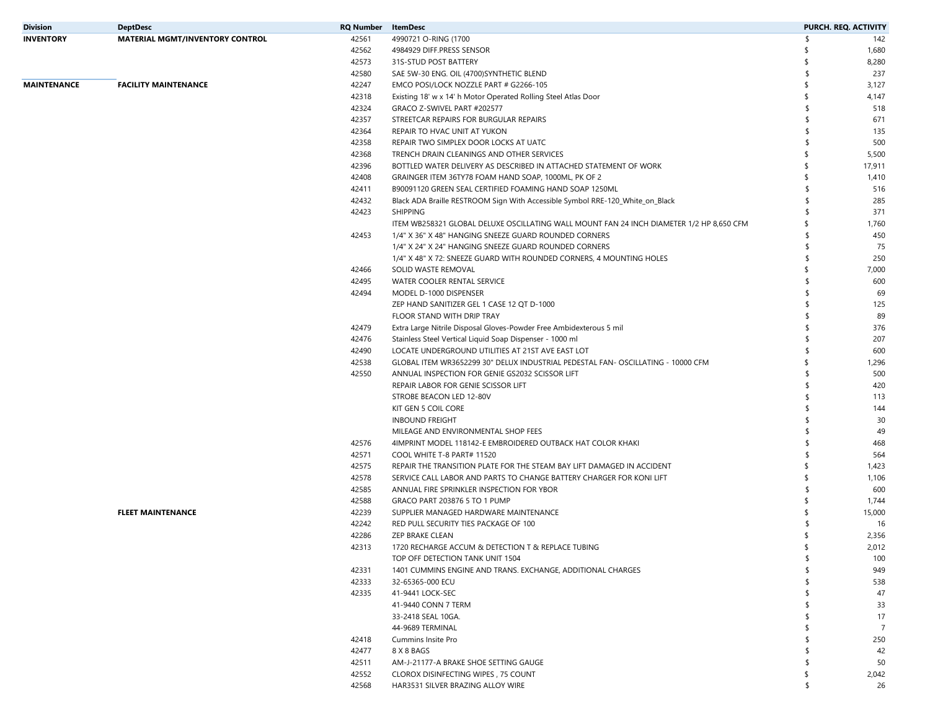| Division    | <b>DeptDesc</b>                        | RQ Number | ItemDesc                                                                                 |    | PURCH. REQ. ACTIVITY |
|-------------|----------------------------------------|-----------|------------------------------------------------------------------------------------------|----|----------------------|
| INVENTORY   | <b>MATERIAL MGMT/INVENTORY CONTROL</b> | 42561     | 4990721 O-RING (1700                                                                     | \$ | 142                  |
|             |                                        | 42562     | 4984929 DIFF.PRESS SENSOR                                                                |    | 1,680                |
|             |                                        | 42573     | 31S-STUD POST BATTERY                                                                    |    | 8,280                |
|             |                                        | 42580     | SAE 5W-30 ENG. OIL (4700) SYNTHETIC BLEND                                                | \$ | 237                  |
| MAINTENANCE | <b>FACILITY MAINTENANCE</b>            | 42247     | EMCO POSI/LOCK NOZZLE PART # G2266-105                                                   | ٢  | 3,127                |
|             |                                        | 42318     | Existing 18' w x 14' h Motor Operated Rolling Steel Atlas Door                           | \$ | 4,147                |
|             |                                        | 42324     | GRACO Z-SWIVEL PART #202577                                                              | ¢  | 518                  |
|             |                                        | 42357     | STREETCAR REPAIRS FOR BURGULAR REPAIRS                                                   |    | 671                  |
|             |                                        | 42364     | REPAIR TO HVAC UNIT AT YUKON                                                             |    | 135                  |
|             |                                        | 42358     | REPAIR TWO SIMPLEX DOOR LOCKS AT UATC                                                    |    | 500                  |
|             |                                        | 42368     |                                                                                          |    | 5,500                |
|             |                                        |           | TRENCH DRAIN CLEANINGS AND OTHER SERVICES                                                |    |                      |
|             |                                        | 42396     | BOTTLED WATER DELIVERY AS DESCRIBED IN ATTACHED STATEMENT OF WORK                        | S  | 17,911               |
|             |                                        | 42408     | GRAINGER ITEM 36TY78 FOAM HAND SOAP, 1000ML, PK OF 2                                     |    | 1,410                |
|             |                                        | 42411     | B90091120 GREEN SEAL CERTIFIED FOAMING HAND SOAP 1250ML                                  |    | 516                  |
|             |                                        | 42432     | Black ADA Braille RESTROOM Sign With Accessible Symbol RRE-120_White_on_Black            |    | 285                  |
|             |                                        | 42423     | <b>SHIPPING</b>                                                                          |    | 371                  |
|             |                                        |           | ITEM WB258321 GLOBAL DELUXE OSCILLATING WALL MOUNT FAN 24 INCH DIAMETER 1/2 HP 8,650 CFM |    | 1,760                |
|             |                                        | 42453     | 1/4" X 36" X 48" HANGING SNEEZE GUARD ROUNDED CORNERS                                    |    | 450                  |
|             |                                        |           | 1/4" X 24" X 24" HANGING SNEEZE GUARD ROUNDED CORNERS                                    |    | 75                   |
|             |                                        |           | 1/4" X 48" X 72: SNEEZE GUARD WITH ROUNDED CORNERS, 4 MOUNTING HOLES                     |    | 250                  |
|             |                                        | 42466     | SOLID WASTE REMOVAL                                                                      |    | 7,000                |
|             |                                        | 42495     | WATER COOLER RENTAL SERVICE                                                              |    | 600                  |
|             |                                        | 42494     | MODEL D-1000 DISPENSER                                                                   |    | 69                   |
|             |                                        |           | ZEP HAND SANITIZER GEL 1 CASE 12 QT D-1000                                               |    | 125                  |
|             |                                        |           | FLOOR STAND WITH DRIP TRAY                                                               |    | 89                   |
|             |                                        | 42479     | Extra Large Nitrile Disposal Gloves-Powder Free Ambidexterous 5 mil                      |    | 376                  |
|             |                                        | 42476     | Stainless Steel Vertical Liquid Soap Dispenser - 1000 ml                                 |    | 207                  |
|             |                                        | 42490     | LOCATE UNDERGROUND UTILITIES AT 21ST AVE EAST LOT                                        |    | 600                  |
|             |                                        | 42538     | GLOBAL ITEM WR3652299 30" DELUX INDUSTRIAL PEDESTAL FAN- OSCILLATING - 10000 CFM         |    | 1,296                |
|             |                                        | 42550     | ANNUAL INSPECTION FOR GENIE GS2032 SCISSOR LIFT                                          |    | 500                  |
|             |                                        |           | REPAIR LABOR FOR GENIE SCISSOR LIFT                                                      |    | 420                  |
|             |                                        |           | STROBE BEACON LED 12-80V                                                                 |    | 113                  |
|             |                                        |           | KIT GEN 5 COIL CORE                                                                      |    | 144                  |
|             |                                        |           | <b>INBOUND FREIGHT</b>                                                                   |    | 30                   |
|             |                                        |           | MILEAGE AND ENVIRONMENTAL SHOP FEES                                                      |    | 49                   |
|             |                                        | 42576     | 4IMPRINT MODEL 118142-E EMBROIDERED OUTBACK HAT COLOR KHAKI                              |    | 468                  |
|             |                                        | 42571     | COOL WHITE T-8 PART# 11520                                                               |    | 564                  |
|             |                                        | 42575     | REPAIR THE TRANSITION PLATE FOR THE STEAM BAY LIFT DAMAGED IN ACCIDENT                   |    | 1,423                |
|             |                                        |           | SERVICE CALL LABOR AND PARTS TO CHANGE BATTERY CHARGER FOR KONI LIFT                     |    |                      |
|             |                                        | 42578     |                                                                                          |    | 1,106                |
|             |                                        | 42585     | ANNUAL FIRE SPRINKLER INSPECTION FOR YBOR                                                |    | 600                  |
|             |                                        | 42588     | GRACO PART 203876 5 TO 1 PUMP                                                            |    | 1,744                |
|             | <b>FLEET MAINTENANCE</b>               | 42239     | SUPPLIER MANAGED HARDWARE MAINTENANCE                                                    |    | 15,000               |
|             |                                        | 42242     | RED PULL SECURITY TIES PACKAGE OF 100                                                    |    | 16                   |
|             |                                        | 42286     | ZEP BRAKE CLEAN                                                                          |    | 2,356                |
|             |                                        | 42313     | 1720 RECHARGE ACCUM & DETECTION T & REPLACE TUBING                                       |    | 2,012                |
|             |                                        |           | TOP OFF DETECTION TANK UNIT 1504                                                         | \$ | 100                  |
|             |                                        | 42331     | 1401 CUMMINS ENGINE AND TRANS. EXCHANGE, ADDITIONAL CHARGES                              |    | 949                  |
|             |                                        | 42333     | 32-65365-000 ECU                                                                         |    | 538                  |
|             |                                        | 42335     | 41-9441 LOCK-SEC                                                                         |    | 47                   |
|             |                                        |           | 41-9440 CONN 7 TERM                                                                      |    | 33                   |
|             |                                        |           | 33-2418 SEAL 10GA.                                                                       |    | 17                   |
|             |                                        |           | 44-9689 TERMINAL                                                                         |    | $\overline{7}$       |
|             |                                        | 42418     | Cummins Insite Pro                                                                       |    | 250                  |
|             |                                        | 42477     | 8 X 8 BAGS                                                                               |    | 42                   |
|             |                                        | 42511     | AM-J-21177-A BRAKE SHOE SETTING GAUGE                                                    |    | 50                   |
|             |                                        | 42552     | CLOROX DISINFECTING WIPES, 75 COUNT                                                      |    | 2,042                |
|             |                                        | 42568     | HAR3531 SILVER BRAZING ALLOY WIRE                                                        | \$ | 26                   |
|             |                                        |           |                                                                                          |    |                      |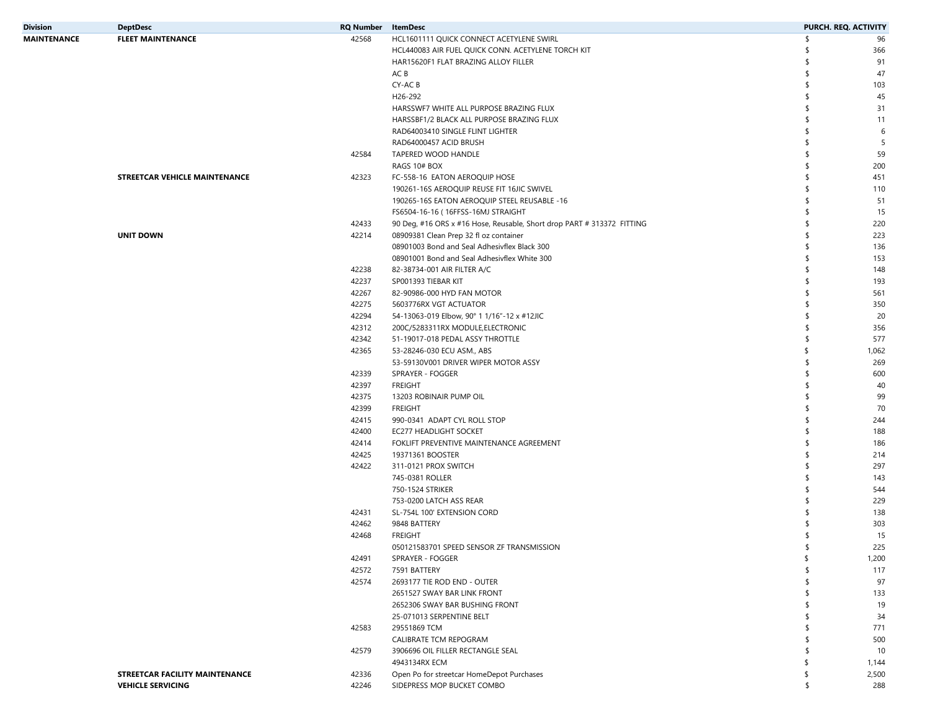| <b>Division</b>    | <b>DeptDesc</b>                      | <b>RQ Number</b> ItemDesc |                                                                        |     | PURCH. REQ. ACTIVITY |
|--------------------|--------------------------------------|---------------------------|------------------------------------------------------------------------|-----|----------------------|
| <b>MAINTENANCE</b> | <b>FLEET MAINTENANCE</b>             | 42568                     | HCL1601111 QUICK CONNECT ACETYLENE SWIRL                               |     | 96                   |
|                    |                                      |                           | HCL440083 AIR FUEL QUICK CONN. ACETYLENE TORCH KIT                     |     | 366                  |
|                    |                                      |                           | HAR15620F1 FLAT BRAZING ALLOY FILLER                                   |     | 91                   |
|                    |                                      |                           | AC B                                                                   |     | 47                   |
|                    |                                      |                           | CY-AC B                                                                |     | 103                  |
|                    |                                      |                           | H26-292                                                                |     | 45                   |
|                    |                                      |                           | HARSSWF7 WHITE ALL PURPOSE BRAZING FLUX                                |     | 31                   |
|                    |                                      |                           | HARSSBF1/2 BLACK ALL PURPOSE BRAZING FLUX                              |     | 11                   |
|                    |                                      |                           | RAD64003410 SINGLE FLINT LIGHTER                                       |     | 6                    |
|                    |                                      |                           | RAD64000457 ACID BRUSH                                                 |     | -5                   |
|                    |                                      | 42584                     | TAPERED WOOD HANDLE                                                    |     | 59                   |
|                    |                                      |                           | RAGS 10# BOX                                                           |     | 200                  |
|                    | <b>STREETCAR VEHICLE MAINTENANCE</b> | 42323                     | FC-558-16 EATON AEROQUIP HOSE                                          |     | 451                  |
|                    |                                      |                           | 190261-16S AEROQUIP REUSE FIT 16JIC SWIVEL                             |     | 110                  |
|                    |                                      |                           | 190265-16S EATON AEROQUIP STEEL REUSABLE -16                           |     | 51                   |
|                    |                                      |                           | FS6504-16-16 (16FFSS-16MJ STRAIGHT                                     |     | 15                   |
|                    |                                      | 42433                     | 90 Deg, #16 ORS x #16 Hose, Reusable, Short drop PART # 313372 FITTING |     | 220                  |
|                    | <b>UNIT DOWN</b>                     | 42214                     | 08909381 Clean Prep 32 fl oz container                                 |     | 223                  |
|                    |                                      |                           | 08901003 Bond and Seal Adhesivflex Black 300                           |     | 136                  |
|                    |                                      |                           | 08901001 Bond and Seal Adhesivflex White 300                           |     | 153                  |
|                    |                                      | 42238                     | 82-38734-001 AIR FILTER A/C                                            |     | 148                  |
|                    |                                      | 42237                     | SP001393 TIEBAR KIT                                                    |     | 193                  |
|                    |                                      | 42267                     | 82-90986-000 HYD FAN MOTOR                                             |     | 561                  |
|                    |                                      | 42275                     | 5603776RX VGT ACTUATOR                                                 |     | 350                  |
|                    |                                      | 42294                     | 54-13063-019 Elbow, 90° 1 1/16"-12 x #12JIC                            |     | 20                   |
|                    |                                      | 42312                     | 200C/5283311RX MODULE, ELECTRONIC                                      |     | 356                  |
|                    |                                      | 42342                     | 51-19017-018 PEDAL ASSY THROTTLE                                       |     | 577                  |
|                    |                                      | 42365                     | 53-28246-030 ECU ASM., ABS                                             | \$  | 1,062                |
|                    |                                      |                           | 53-59130V001 DRIVER WIPER MOTOR ASSY                                   |     | 269                  |
|                    |                                      | 42339                     | SPRAYER - FOGGER                                                       |     | 600                  |
|                    |                                      | 42397                     | FREIGHT                                                                |     | 40                   |
|                    |                                      | 42375                     | 13203 ROBINAIR PUMP OIL                                                |     | 99                   |
|                    |                                      | 42399                     | <b>FREIGHT</b>                                                         |     | 70                   |
|                    |                                      | 42415                     | 990-0341 ADAPT CYL ROLL STOP                                           |     | 244                  |
|                    |                                      | 42400                     | EC277 HEADLIGHT SOCKET                                                 |     | 188                  |
|                    |                                      | 42414                     | FOKLIFT PREVENTIVE MAINTENANCE AGREEMENT                               |     | 186                  |
|                    |                                      | 42425                     | 19371361 BOOSTER                                                       |     | 214                  |
|                    |                                      | 42422                     | 311-0121 PROX SWITCH                                                   |     | 297                  |
|                    |                                      |                           | 745-0381 ROLLER                                                        |     | 143                  |
|                    |                                      |                           | 750-1524 STRIKER                                                       |     | 544                  |
|                    |                                      |                           | 753-0200 LATCH ASS REAR                                                |     | 229                  |
|                    |                                      | 42431                     | SL-754L 100' EXTENSION CORD                                            |     | 138                  |
|                    |                                      | 42462                     | 9848 BATTERY                                                           |     | 303                  |
|                    |                                      | 42468                     | <b>FREIGHT</b>                                                         |     | 15                   |
|                    |                                      |                           | 050121583701 SPEED SENSOR ZF TRANSMISSION                              |     | 225                  |
|                    |                                      | 42491                     | SPRAYER - FOGGER                                                       | \$  | 1,200                |
|                    |                                      | 42572                     | 7591 BATTERY                                                           |     | 117                  |
|                    |                                      | 42574                     | 2693177 TIE ROD END - OUTER                                            |     | 97                   |
|                    |                                      |                           | 2651527 SWAY BAR LINK FRONT                                            |     | 133                  |
|                    |                                      |                           | 2652306 SWAY BAR BUSHING FRONT                                         |     | 19                   |
|                    |                                      |                           | 25-071013 SERPENTINE BELT                                              |     | 34                   |
|                    |                                      | 42583                     | 29551869 TCM                                                           |     | 771                  |
|                    |                                      |                           | CALIBRATE TCM REPOGRAM                                                 |     | 500                  |
|                    |                                      | 42579                     | 3906696 OIL FILLER RECTANGLE SEAL                                      |     | 10                   |
|                    |                                      |                           | 4943134RX ECM                                                          | \$. | 1,144                |
|                    | STREETCAR FACILITY MAINTENANCE       | 42336                     | Open Po for streetcar HomeDepot Purchases                              | \$  | 2,500                |
|                    | <b>VEHICLE SERVICING</b>             | 42246                     | SIDEPRESS MOP BUCKET COMBO                                             | -S  | 288                  |
|                    |                                      |                           |                                                                        |     |                      |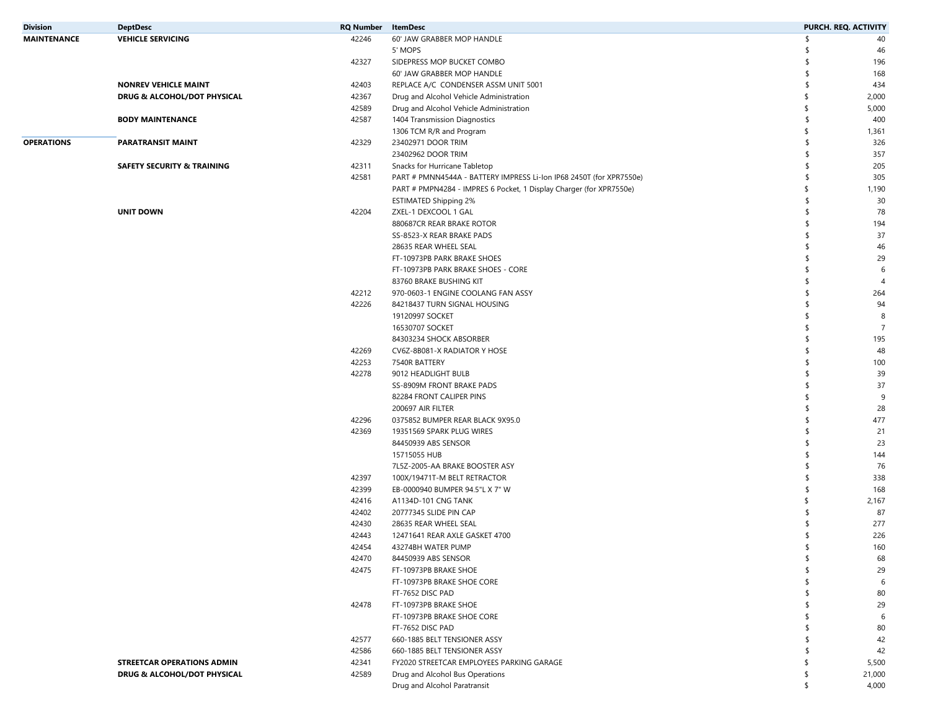| <b>Division</b>    | <b>DeptDesc</b>                       | <b>RQ Number</b> ItemDesc |                                                                     |     | PURCH. REQ. ACTIVITY |
|--------------------|---------------------------------------|---------------------------|---------------------------------------------------------------------|-----|----------------------|
| <b>MAINTENANCE</b> | <b>VEHICLE SERVICING</b>              | 42246                     | 60' JAW GRABBER MOP HANDLE                                          | \$  | 40                   |
|                    |                                       |                           | 5' MOPS                                                             |     | 46                   |
|                    |                                       | 42327                     | SIDEPRESS MOP BUCKET COMBO                                          |     | 196                  |
|                    |                                       |                           | 60' JAW GRABBER MOP HANDLE                                          | \$  | 168                  |
|                    | <b>NONREV VEHICLE MAINT</b>           | 42403                     | REPLACE A/C CONDENSER ASSM UNIT 5001                                | \$. | 434                  |
|                    | DRUG & ALCOHOL/DOT PHYSICAL           | 42367                     | Drug and Alcohol Vehicle Administration                             |     | 2,000                |
|                    |                                       | 42589                     | Drug and Alcohol Vehicle Administration                             | -S  | 5,000                |
|                    | <b>BODY MAINTENANCE</b>               | 42587                     | 1404 Transmission Diagnostics                                       | \$. | 400                  |
|                    |                                       |                           | 1306 TCM R/R and Program                                            |     | 1,361                |
| <b>OPERATIONS</b>  | <b>PARATRANSIT MAINT</b>              | 42329                     | 23402971 DOOR TRIM                                                  | \$. | 326                  |
|                    |                                       |                           | 23402962 DOOR TRIM                                                  | \$  | 357                  |
|                    | <b>SAFETY SECURITY &amp; TRAINING</b> | 42311                     | Snacks for Hurricane Tabletop                                       | \$  | 205                  |
|                    |                                       | 42581                     | PART # PMNN4544A - BATTERY IMPRESS Li-Ion IP68 2450T (for XPR7550e) | \$  | 305                  |
|                    |                                       |                           | PART # PMPN4284 - IMPRES 6 Pocket, 1 Display Charger (for XPR7550e) |     | 1,190                |
|                    |                                       |                           | <b>ESTIMATED Shipping 2%</b>                                        | \$  | 30                   |
|                    | <b>UNIT DOWN</b>                      | 42204                     | ZXEL-1 DEXCOOL 1 GAL                                                | \$  | 78                   |
|                    |                                       |                           | 880687CR REAR BRAKE ROTOR                                           | \$  | 194                  |
|                    |                                       |                           | SS-8523-X REAR BRAKE PADS                                           | \$  | 37                   |
|                    |                                       |                           | 28635 REAR WHEEL SEAL                                               | \$  | 46                   |
|                    |                                       |                           | FT-10973PB PARK BRAKE SHOES                                         |     | 29                   |
|                    |                                       |                           | FT-10973PB PARK BRAKE SHOES - CORE                                  |     | 6                    |
|                    |                                       |                           | 83760 BRAKE BUSHING KIT                                             |     | $\overline{4}$       |
|                    |                                       | 42212                     | 970-0603-1 ENGINE COOLANG FAN ASSY                                  | \$  | 264                  |
|                    |                                       | 42226                     | 84218437 TURN SIGNAL HOUSING                                        |     | 94                   |
|                    |                                       |                           |                                                                     |     | 8                    |
|                    |                                       |                           | 19120997 SOCKET                                                     |     |                      |
|                    |                                       |                           | 16530707 SOCKET                                                     | S   | $\overline{7}$       |
|                    |                                       |                           | 84303234 SHOCK ABSORBER                                             | \$  | 195                  |
|                    |                                       | 42269                     | CV6Z-8B081-X RADIATOR Y HOSE                                        | \$  | 48                   |
|                    |                                       | 42253                     | 7540R BATTERY                                                       | \$  | 100                  |
|                    |                                       | 42278                     | 9012 HEADLIGHT BULB                                                 | \$  | 39                   |
|                    |                                       |                           | SS-8909M FRONT BRAKE PADS                                           | \$  | 37                   |
|                    |                                       |                           | 82284 FRONT CALIPER PINS                                            | -S  | 9                    |
|                    |                                       |                           | 200697 AIR FILTER                                                   | \$  | 28                   |
|                    |                                       | 42296                     | 0375852 BUMPER REAR BLACK 9X95.0                                    | \$  | 477                  |
|                    |                                       | 42369                     | 19351569 SPARK PLUG WIRES                                           |     | 21                   |
|                    |                                       |                           | 84450939 ABS SENSOR                                                 |     | 23                   |
|                    |                                       |                           | 15715055 HUB                                                        | \$  | 144                  |
|                    |                                       |                           | 7L5Z-2005-AA BRAKE BOOSTER ASY                                      | \$  | 76                   |
|                    |                                       | 42397                     | 100X/19471T-M BELT RETRACTOR                                        |     | 338                  |
|                    |                                       | 42399                     | EB-0000940 BUMPER 94.5"L X 7" W                                     | \$  | 168                  |
|                    |                                       | 42416                     | A1134D-101 CNG TANK                                                 |     | 2,167                |
|                    |                                       | 42402                     | 20777345 SLIDE PIN CAP                                              |     | 87                   |
|                    |                                       | 42430                     | 28635 REAR WHEEL SEAL                                               |     | 277                  |
|                    |                                       | 42443                     | 12471641 REAR AXLE GASKET 4700                                      |     | 226                  |
|                    |                                       | 42454                     | 43274BH WATER PUMP                                                  |     | 160                  |
|                    |                                       | 42470                     | 84450939 ABS SENSOR                                                 | \$  | 68                   |
|                    |                                       | 42475                     | FT-10973PB BRAKE SHOE                                               | \$  | 29                   |
|                    |                                       |                           | FT-10973PB BRAKE SHOE CORE                                          | \$  | 6                    |
|                    |                                       |                           | FT-7652 DISC PAD                                                    | \$  | 80                   |
|                    |                                       | 42478                     | FT-10973PB BRAKE SHOE                                               | \$  | 29                   |
|                    |                                       |                           | FT-10973PB BRAKE SHOE CORE                                          | \$  | 6                    |
|                    |                                       |                           | FT-7652 DISC PAD                                                    | \$  | 80                   |
|                    |                                       | 42577                     | 660-1885 BELT TENSIONER ASSY                                        | \$  | 42                   |
|                    |                                       | 42586                     | 660-1885 BELT TENSIONER ASSY                                        | \$  | 42                   |
|                    | STREETCAR OPERATIONS ADMIN            | 42341                     | FY2020 STREETCAR EMPLOYEES PARKING GARAGE                           | \$  | 5,500                |
|                    | DRUG & ALCOHOL/DOT PHYSICAL           | 42589                     | Drug and Alcohol Bus Operations                                     | s.  | 21,000               |
|                    |                                       |                           | Drug and Alcohol Paratransit                                        | \$  | 4,000                |
|                    |                                       |                           |                                                                     |     |                      |